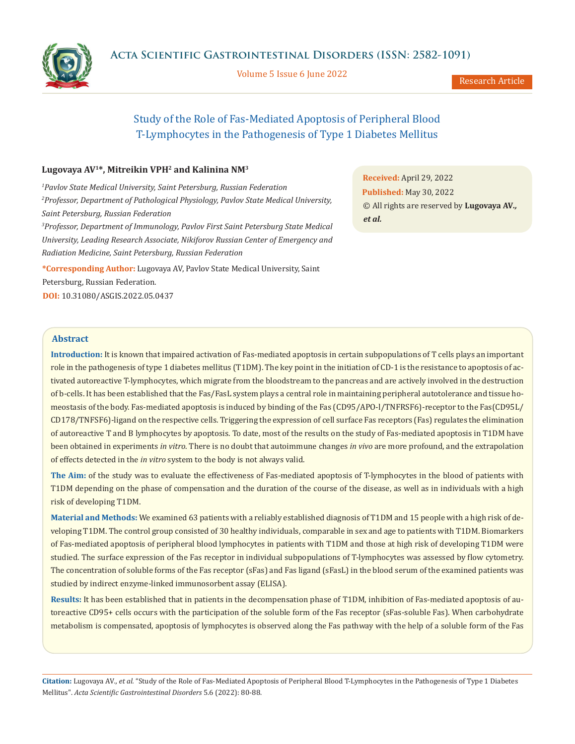**Acta Scientific Gastrointestinal Disorders (ISSN: 2582-1091)**

Volume 5 Issue 6 June 2022

Research Article

# Study of the Role of Fas-Mediated Apoptosis of Peripheral Blood T-Lymphocytes in the Pathogenesis of Type 1 Diabetes Mellitus

# **Lugovaya AV1\*, Mitreikin VPH2 and Kalinina NM3**

*1 Pavlov State Medical University, Saint Petersburg, Russian Federation 2 Professor, Department of Pathological Physiology, Pavlov State Medical University, Saint Petersburg, Russian Federation 3 Professor, Department of Immunology, Pavlov First Saint Petersburg State Medical University, Leading Research Associate, Nikiforov Russian Center of Emergency and* 

*Radiation Medicine, Saint Petersburg, Russian Federation*

**\*Corresponding Author:** Lugovaya AV, Pavlov State Medical University, Saint Petersburg, Russian Federation. **DOI:** [10.31080/ASGIS.2022.05.0437](https://actascientific.com/ASGIS/pdf/ASGIS-05-0437.pdf)

**Received:** April 29, 2022 **Published:** May 30, 2022 © All rights are reserved by **Lugovaya AV***., et al.*

# **Abstract**

**Introduction:** It is known that impaired activation of Fas-mediated apoptosis in certain subpopulations of T cells plays an important role in the pathogenesis of type 1 diabetes mellitus (T1DM). The key point in the initiation of CD-1 is the resistance to apoptosis of activated autoreactive T-lymphocytes, which migrate from the bloodstream to the pancreas and are actively involved in the destruction of b-cells. It has been established that the Fas/FasL system plays a central role in maintaining peripheral autotolerance and tissue homeostasis of the body. Fas-mediated apoptosis is induced by binding of the Fas (CD95/APO-l/TNFRSF6)-receptor to the Fas(CD95L/ CD178/TNFSF6)-ligand on the respective cells. Triggering the expression of cell surface Fas receptors (Fas) regulates the elimination of autoreactive T and B lymphocytes by apoptosis. To date, most of the results on the study of Fas-mediated apoptosis in T1DM have been obtained in experiments *in vitro*. There is no doubt that autoimmune changes *in vivo* are more profound, and the extrapolation of effects detected in the *in vitro* system to the body is not always valid.

**The Aim:** of the study was to evaluate the effectiveness of Fas-mediated apoptosis of T-lymphocytes in the blood of patients with T1DM depending on the phase of compensation and the duration of the course of the disease, as well as in individuals with a high risk of developing T1DM.

**Material and Methods:** We examined 63 patients with a reliably established diagnosis of T1DM and 15 people with a high risk of developing T1DM. The control group consisted of 30 healthy individuals, comparable in sex and age to patients with T1DM. Biomarkers of Fas-mediated apoptosis of peripheral blood lymphocytes in patients with T1DM and those at high risk of developing T1DM were studied. The surface expression of the Fas receptor in individual subpopulations of T-lymphocytes was assessed by flow cytometry. The concentration of soluble forms of the Fas receptor (sFas) and Fas ligand (sFasL) in the blood serum of the examined patients was studied by indirect enzyme-linked immunosorbent assay (ELISA).

**Results:** It has been established that in patients in the decompensation phase of T1DM, inhibition of Fas-mediated apoptosis of autoreactive CD95+ cells occurs with the participation of the soluble form of the Fas receptor (sFas-soluble Fas). When carbohydrate metabolism is compensated, apoptosis of lymphocytes is observed along the Fas pathway with the help of a soluble form of the Fas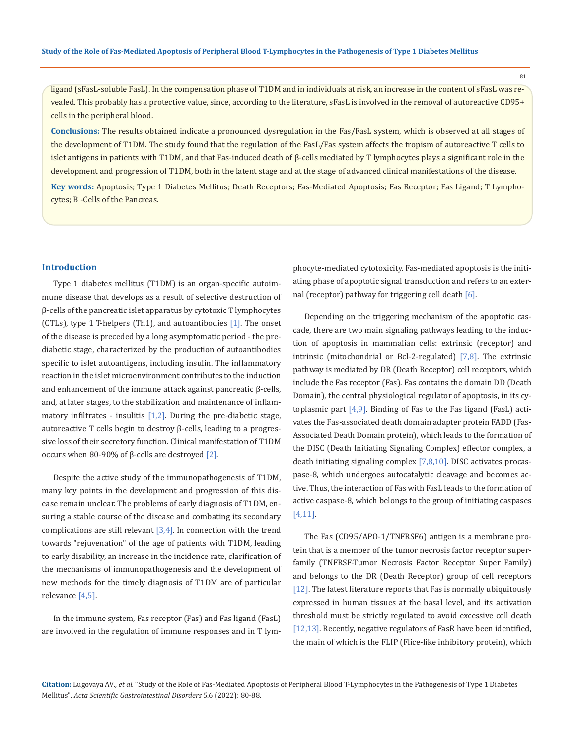81

ligand (sFasL-soluble FasL). In the compensation phase of T1DM and in individuals at risk, an increase in the content of sFasL was revealed. This probably has a protective value, since, according to the literature, sFasL is involved in the removal of autoreactive CD95+ cells in the peripheral blood.

**Conclusions:** The results obtained indicate a pronounced dysregulation in the Fas/FasL system, which is observed at all stages of the development of T1DM. The study found that the regulation of the FasL/Fas system affects the tropism of autoreactive T cells to islet antigens in patients with T1DM, and that Fas-induced death of β-cells mediated by T lymphocytes plays a significant role in the development and progression of T1DM, both in the latent stage and at the stage of advanced clinical manifestations of the disease.

**Key words:** Apoptosis; Type 1 Diabetes Mellitus; Death Receptors; Fas-Mediated Apoptosis; Fas Receptor; Fas Ligand; T Lymphocytes; Β -Cells of the Pancreas.

#### **Introduction**

Type 1 diabetes mellitus (T1DM) is an organ-specific autoimmune disease that develops as a result of selective destruction of β-cells of the pancreatic islet apparatus by cytotoxic T lymphocytes (CTLs), type 1 T-helpers (Th1), and autoantibodies [1]. The onset of the disease is preceded by a long asymptomatic period - the prediabetic stage, characterized by the production of autoantibodies specific to islet autoantigens, including insulin. The inflammatory reaction in the islet microenvironment contributes to the induction and enhancement of the immune attack against pancreatic β-cells, and, at later stages, to the stabilization and maintenance of inflammatory infiltrates - insulitis  $[1,2]$ . During the pre-diabetic stage, autoreactive T cells begin to destroy β-cells, leading to a progressive loss of their secretory function. Clinical manifestation of T1DM occurs when 80-90% of  $\beta$ -cells are destroyed [2].

Despite the active study of the immunopathogenesis of T1DM, many key points in the development and progression of this disease remain unclear. The problems of early diagnosis of T1DM, ensuring a stable course of the disease and combating its secondary complications are still relevant  $[3,4]$ . In connection with the trend towards "rejuvenation" of the age of patients with T1DM, leading to early disability, an increase in the incidence rate, clarification of the mechanisms of immunopathogenesis and the development of new methods for the timely diagnosis of T1DM are of particular relevance [4,5].

In the immune system, Fas receptor (Fas) and Fas ligand (FasL) are involved in the regulation of immune responses and in T lymphocyte-mediated cytotoxicity. Fas-mediated apoptosis is the initiating phase of apoptotic signal transduction and refers to an external (receptor) pathway for triggering cell death [6].

Depending on the triggering mechanism of the apoptotic cascade, there are two main signaling pathways leading to the induction of apoptosis in mammalian cells: extrinsic (receptor) and intrinsic (mitochondrial or Bcl-2-regulated) [7,8]. The extrinsic pathway is mediated by DR (Death Receptor) cell receptors, which include the Fas receptor (Fas). Fas contains the domain DD (Death Domain), the central physiological regulator of apoptosis, in its cytoplasmic part  $[4,9]$ . Binding of Fas to the Fas ligand (FasL) activates the Fas-associated death domain adapter protein FADD (Fas-Associated Death Domain protein), which leads to the formation of the DISC (Death Initiating Signaling Complex) effector complex, a death initiating signaling complex [7,8,10]. DISC activates procaspase-8, which undergoes autocatalytic cleavage and becomes active. Thus, the interaction of Fas with FasL leads to the formation of active caspase-8, which belongs to the group of initiating caspases [4,11].

The Fas (CD95/APO-1/TNFRSF6) antigen is a membrane protein that is a member of the tumor necrosis factor receptor superfamily (TNFRSF-Tumor Necrosis Factor Receptor Super Family) and belongs to the DR (Death Receptor) group of cell receptors [12]. The latest literature reports that Fas is normally ubiquitously expressed in human tissues at the basal level, and its activation threshold must be strictly regulated to avoid excessive cell death [12,13]. Recently, negative regulators of FasR have been identified, the main of which is the FLIP (Flice-like inhibitory protein), which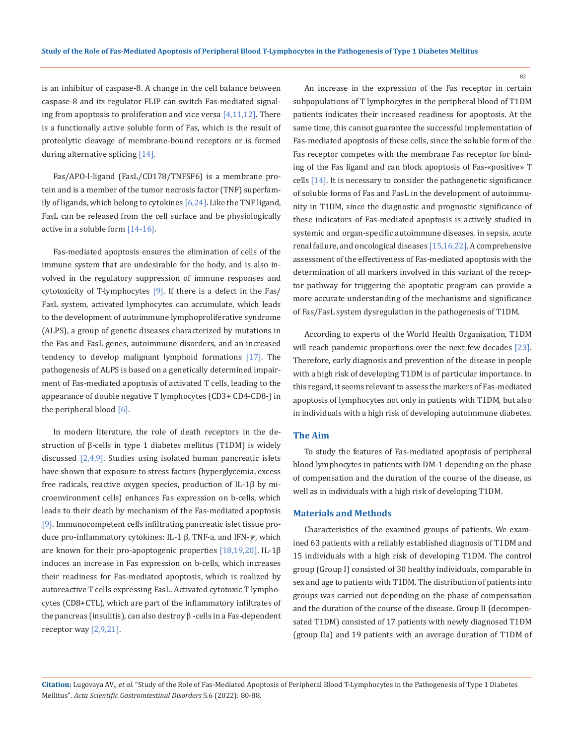is an inhibitor of caspase-8. A change in the cell balance between caspase-8 and its regulator FLIP can switch Fas-mediated signaling from apoptosis to proliferation and vice versa  $[4,11,12]$ . There is a functionally active soluble form of Fas, which is the result of proteolytic cleavage of membrane-bound receptors or is formed during alternative splicing [14].

Fas/APO-l-ligand (FasL/CD178/TNFSF6) is a membrane protein and is a member of the tumor necrosis factor (TNF) superfamily of ligands, which belong to cytokines [6,24]. Like the TNF ligand, FasL can be released from the cell surface and be physiologically active in a soluble form [14-16].

Fas-mediated apoptosis ensures the elimination of cells of the immune system that are undesirable for the body, and is also involved in the regulatory suppression of immune responses and cytotoxicity of T-lymphocytes [9]. If there is a defect in the Fas/ FasL system, activated lymphocytes can accumulate, which leads to the development of autoimmune lymphoproliferative syndrome (ALPS), a group of genetic diseases characterized by mutations in the Fas and FasL genes, autoimmune disorders, and an increased tendency to develop malignant lymphoid formations [17]. The pathogenesis of ALPS is based on a genetically determined impairment of Fas-mediated apoptosis of activated T cells, leading to the appearance of double negative T lymphocytes (CD3+ CD4-CD8-) in the peripheral blood  $[6]$ .

In modern literature, the role of death receptors in the destruction of β-cells in type 1 diabetes mellitus (T1DM) is widely discussed [2,4,9]. Studies using isolated human pancreatic islets have shown that exposure to stress factors (hyperglycemia, excess free radicals, reactive oxygen species, production of IL-1β by microenvironment cells) enhances Fas expression on b-cells, which leads to their death by mechanism of the Fas-mediated apoptosis [9]. Immunocompetent cells infiltrating pancreatic islet tissue produce pro-inflammatory cytokines: IL-1 β, TNF-a, and IFN-ℽ, which are known for their pro-apoptogenic properties [18,19,20]. IL-1β induces an increase in Fas expression on b-cells, which increases their readiness for Fas-mediated apoptosis, which is realized by autoreactive T cells expressing FasL. Activated cytotoxic T lymphocytes (CD8+CTL), which are part of the inflammatory infiltrates of the pancreas (insulitis), can also destroy β -cells in a Fas-dependent receptor way [2,9,21].

An increase in the expression of the Fas receptor in certain subpopulations of T lymphocytes in the peripheral blood of T1DM patients indicates their increased readiness for apoptosis. At the same time, this cannot guarantee the successful implementation of Fas-mediated apoptosis of these cells, since the soluble form of the Fas receptor competes with the membrane Fas receptor for binding of the Fas ligand and can block apoptosis of Fas-«positive» T cells [14]. It is necessary to consider the pathogenetic significance of soluble forms of Fas and FasL in the development of autoimmunity in T1DM, since the diagnostic and prognostic significance of these indicators of Fas-mediated apoptosis is actively studied in systemic and organ-specific autoimmune diseases, in sepsis, acute renal failure, and oncological diseases [15,16,22]. A comprehensive assessment of the effectiveness of Fas-mediated apoptosis with the determination of all markers involved in this variant of the receptor pathway for triggering the apoptotic program can provide a more accurate understanding of the mechanisms and significance of Fas/FasL system dysregulation in the pathogenesis of T1DM.

According to experts of the World Health Organization, T1DM will reach pandemic proportions over the next few decades [23]. Therefore, early diagnosis and prevention of the disease in people with a high risk of developing T1DM is of particular importance. In this regard, it seems relevant to assess the markers of Fas-mediated apoptosis of lymphocytes not only in patients with T1DM, but also in individuals with a high risk of developing autoimmune diabetes.

## **The Aim**

To study the features of Fas-mediated apoptosis of peripheral blood lymphocytes in patients with DM-1 depending on the phase of compensation and the duration of the course of the disease, as well as in individuals with a high risk of developing T1DM.

#### **Materials and Methods**

Characteristics of the examined groups of patients. We examined 63 patients with a reliably established diagnosis of T1DM and 15 individuals with a high risk of developing T1DM. The control group (Group I) consisted of 30 healthy individuals, comparable in sex and age to patients with T1DM. The distribution of patients into groups was carried out depending on the phase of compensation and the duration of the course of the disease. Group II (decompensated T1DM) consisted of 17 patients with newly diagnosed T1DM (group IIa) and 19 patients with an average duration of T1DM of

**Citation:** Lugovaya AV*., et al.* "Study of the Role of Fas-Mediated Apoptosis of Peripheral Blood T-Lymphocytes in the Pathogenesis of Type 1 Diabetes Mellitus". *Acta Scientific Gastrointestinal Disorders* 5.6 (2022): 80-88.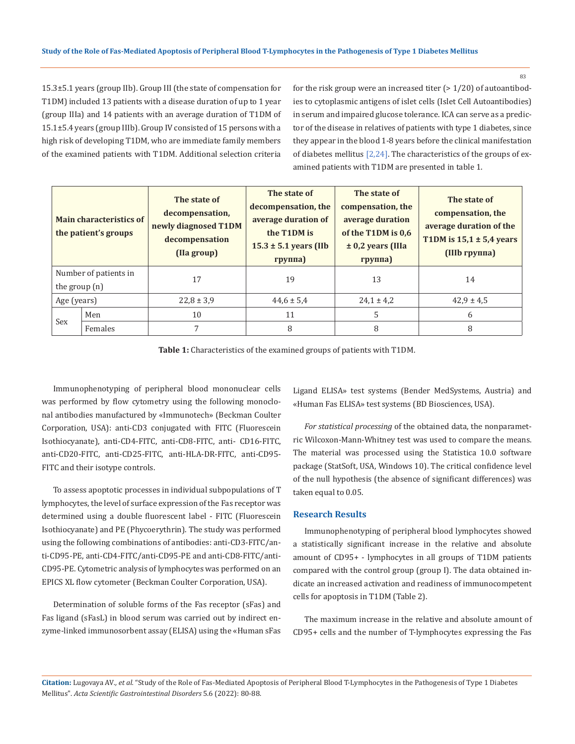83

15.3±5.1 years (group IIb). Group III (the state of compensation for T1DM) included 13 patients with a disease duration of up to 1 year (group IIIa) and 14 patients with an average duration of T1DM of 15.1±5.4 years (group IIIb). Group IV consisted of 15 persons with a high risk of developing T1DM, who are immediate family members of the examined patients with T1DM. Additional selection criteria

for the risk group were an increased titer  $(>1/20)$  of autoantibodies to cytoplasmic antigens of islet cells (Islet Cell Autoantibodies) in serum and impaired glucose tolerance. ICA can serve as a predictor of the disease in relatives of patients with type 1 diabetes, since they appear in the blood 1-8 years before the clinical manifestation of diabetes mellitus  $[2,24]$ . The characteristics of the groups of examined patients with T1DM are presented in table 1.

| <b>Main characteristics of</b><br>the patient's groups |         | The state of<br>decompensation,<br>newly diagnosed T1DM<br>decompensation<br>(Ila group) | The state of<br>decompensation, the<br>average duration of<br>the T1DM is<br>$15.3 \pm 5.1$ years (IIb<br>группа) | The state of<br>compensation, the<br>average duration<br>of the T1DM is 0.6<br>$\pm$ 0,2 years (IIIa<br>группа) | The state of<br>compensation, the<br>average duration of the<br>T1DM is $15,1 \pm 5,4$ years<br>(IIIb группа) |
|--------------------------------------------------------|---------|------------------------------------------------------------------------------------------|-------------------------------------------------------------------------------------------------------------------|-----------------------------------------------------------------------------------------------------------------|---------------------------------------------------------------------------------------------------------------|
| Number of patients in<br>the group $(n)$               |         | 17                                                                                       | 19                                                                                                                | 13                                                                                                              | 14                                                                                                            |
| Age (years)                                            |         | $22.8 \pm 3.9$                                                                           | $44.6 \pm 5.4$                                                                                                    | $24.1 \pm 4.2$                                                                                                  | $42,9 \pm 4,5$                                                                                                |
| Sex                                                    | Men     | 10                                                                                       | 11                                                                                                                | 5                                                                                                               | 6                                                                                                             |
|                                                        | Females | 7                                                                                        | 8                                                                                                                 | 8                                                                                                               | 8                                                                                                             |

**Table 1:** Characteristics of the examined groups of patients with T1DM.

Immunophenotyping of peripheral blood mononuclear cells was performed by flow cytometry using the following monoclonal antibodies manufactured by «Immunotech» (Beckman Coulter Corporation, USA): anti-CD3 conjugated with FITC (Fluorescein Isothiocyanate), anti-CD4-FITC, anti-CD8-FITC, anti- CD16-FITC, anti-CD20-FITC, anti-CD25-FITC, anti-HLA-DR-FITC, anti-CD95- FITC and their isotype controls.

To assess apoptotic processes in individual subpopulations of T lymphocytes, the level of surface expression of the Fas receptor was determined using a double fluorescent label - FITC (Fluorescein Isothiocyanate) and PE (Phycoerythrin). The study was performed using the following combinations of antibodies: anti-CD3-FITC/anti-CD95-PE, anti-CD4-FITC/anti-CD95-PE and anti-CD8-FITC/anti-CD95-PE. Cytometric analysis of lymphocytes was performed on an EPICS XL flow cytometer (Beckman Coulter Corporation, USA).

Determination of soluble forms of the Fas receptor (sFas) and Fas ligand (sFasL) in blood serum was carried out by indirect enzyme-linked immunosorbent assay (ELISA) using the «Human sFas Ligand ELISA» test systems (Bender MedSystems, Austria) and «Human Fas ELISA» test systems (BD Biosciences, USA).

*For statistical processing* of the obtained data, the nonparametric Wilcoxon-Mann-Whitney test was used to compare the means. The material was processed using the Statistica 10.0 software package (StatSoft, USA, Windows 10). The critical confidence level of the null hypothesis (the absence of significant differences) was taken equal to 0.05.

## **Research Results**

Immunophenotyping of peripheral blood lymphocytes showed a statistically significant increase in the relative and absolute amount of CD95+ - lymphocytes in all groups of T1DM patients compared with the control group (group I). The data obtained indicate an increased activation and readiness of immunocompetent cells for apoptosis in T1DM (Table 2).

The maximum increase in the relative and absolute amount of CD95+ cells and the number of T-lymphocytes expressing the Fas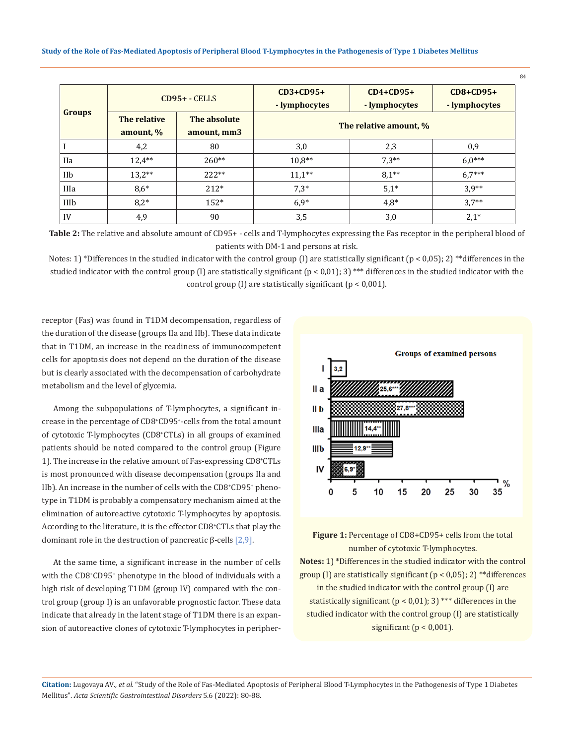| <b>Groups</b> | $CD95+ - CELLS$           |                             | $CD3+CD95+$<br>- lymphocytes | $CD4+CD95+$<br>- lymphocytes | $CD8+CD95+$<br>- lymphocytes |
|---------------|---------------------------|-----------------------------|------------------------------|------------------------------|------------------------------|
|               | The relative<br>amount, % | The absolute<br>amount, mm3 | The relative amount, %       |                              |                              |
|               | 4,2                       | 80                          | 3,0                          | 2,3                          | 0,9                          |
| <b>IIa</b>    | $12.4***$                 | $260**$                     | $10,8**$                     | $7,3**$                      | $6.0***$                     |
| IIb           | $13,2**$                  | $222**$                     | $11.1***$                    | $8.1***$                     | $6.7***$                     |
| IIIa          | $8,6*$                    | $212*$                      | $7,3*$                       | $5,1*$                       | $3,9**$                      |
| IIIb          | $8.2*$                    | $152*$                      | $6.9*$                       | $4,8*$                       | $3.7**$                      |
| IV            | 4,9                       | 90                          | 3,5                          | 3,0                          | $2,1*$                       |

**Table 2:** The relative and absolute amount of CD95+ - cells and T-lymphocytes expressing the Fas receptor in the peripheral blood of patients with DM-1 and persons at risk.

Notes: 1) \*Differences in the studied indicator with the control group (I) are statistically significant ( $p < 0.05$ ); 2) \*\*differences in the studied indicator with the control group (I) are statistically significant  $(p < 0.01)$ ; 3) \*\*\* differences in the studied indicator with the control group (I) are statistically significant (p < 0,001).

receptor (Fas) was found in T1DM decompensation, regardless of the duration of the disease (groups IIa and IIb). These data indicate that in T1DM, an increase in the readiness of immunocompetent cells for apoptosis does not depend on the duration of the disease but is clearly associated with the decompensation of carbohydrate metabolism and the level of glycemia.

Among the subpopulations of T-lymphocytes, a significant increase in the percentage of CD8+ CD95+ -cells from the total amount of cytotoxic T-lymphocytes (CD8+ CTLs) in all groups of examined patients should be noted compared to the control group (Figure 1). The increase in the relative amount of Fas-expressing CD8+ CTLs is most pronounced with disease decompensation (groups IIa and IIb). An increase in the number of cells with the CD8<sup>+</sup>CD95<sup>+</sup> phenotype in T1DM is probably a compensatory mechanism aimed at the elimination of autoreactive cytotoxic T-lymphocytes by apoptosis. According to the literature, it is the effector CD8+ CTLs that play the dominant role in the destruction of pancreatic  $β$ -cells  $[2,9]$ .

At the same time, a significant increase in the number of cells with the CD8+ CD95+ phenotype in the blood of individuals with a high risk of developing T1DM (group IV) compared with the control group (group I) is an unfavorable prognostic factor. These data indicate that already in the latent stage of T1DM there is an expansion of autoreactive clones of cytotoxic T-lymphocytes in peripher-





**Notes:** 1) \*Differences in the studied indicator with the control group (I) are statistically significant ( $p < 0.05$ ); 2) \*\*differences in the studied indicator with the control group (I) are statistically significant ( $p < 0.01$ ); 3) \*\*\* differences in the studied indicator with the control group (I) are statistically significant ( $p < 0.001$ ).

**Citation:** Lugovaya AV*., et al.* "Study of the Role of Fas-Mediated Apoptosis of Peripheral Blood T-Lymphocytes in the Pathogenesis of Type 1 Diabetes Mellitus". *Acta Scientific Gastrointestinal Disorders* 5.6 (2022): 80-88.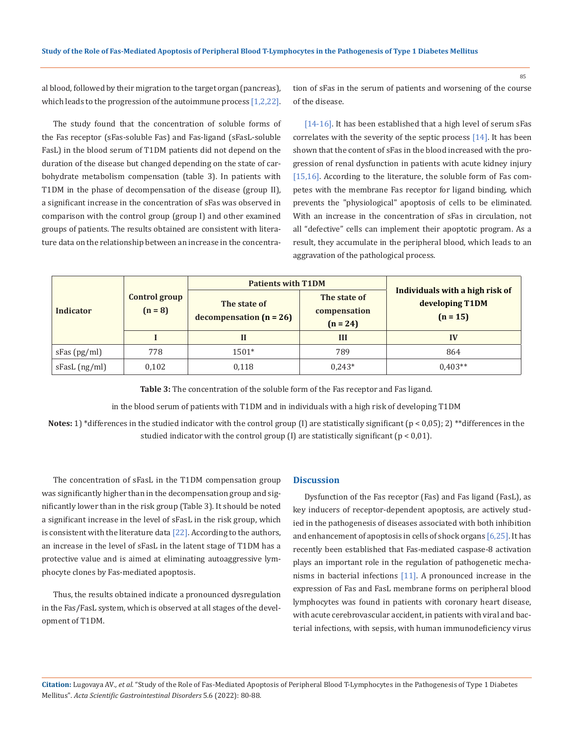al blood, followed by their migration to the target organ (pancreas), which leads to the progression of the autoimmune process  $[1,2,22]$ .

The study found that the concentration of soluble forms of the Fas receptor (sFas-soluble Fas) and Fas-ligand (sFasL-soluble FasL) in the blood serum of T1DM patients did not depend on the duration of the disease but changed depending on the state of carbohydrate metabolism compensation (table 3). In patients with T1DM in the phase of decompensation of the disease (group II), a significant increase in the concentration of sFas was observed in comparison with the control group (group I) and other examined groups of patients. The results obtained are consistent with literature data on the relationship between an increase in the concentration of sFas in the serum of patients and worsening of the course of the disease.

[14-16]. It has been established that a high level of serum sFas correlates with the severity of the septic process [14]. It has been shown that the content of sFas in the blood increased with the progression of renal dysfunction in patients with acute kidney injury [15,16]. According to the literature, the soluble form of Fas competes with the membrane Fas receptor for ligand binding, which prevents the "physiological" apoptosis of cells to be eliminated. With an increase in the concentration of sFas in circulation, not all "defective" cells can implement their apoptotic program. As a result, they accumulate in the peripheral blood, which leads to an aggravation of the pathological process.

|                  |                            | <b>Patients with T1DM</b>                 |                                            |                                                                  |  |
|------------------|----------------------------|-------------------------------------------|--------------------------------------------|------------------------------------------------------------------|--|
| <b>Indicator</b> | Control group<br>$(n = 8)$ | The state of<br>decompensation $(n = 26)$ | The state of<br>compensation<br>$(n = 24)$ | Individuals with a high risk of<br>developing T1DM<br>$(n = 15)$ |  |
|                  |                            | П                                         | Ш                                          | IV                                                               |  |
| sFas(pg/ml)      | 778                        | $1501*$                                   | 789                                        | 864                                                              |  |
| sFasL (ng/ml)    | 0,102                      | 0,118                                     | $0,243*$                                   | $0.403**$                                                        |  |

**Table 3:** The concentration of the soluble form of the Fas receptor and Fas ligand.

in the blood serum of patients with T1DM and in individuals with a high risk of developing T1DM

**Notes:** 1) \*differences in the studied indicator with the control group (I) are statistically significant ( $p < 0.05$ ); 2) \*\*differences in the studied indicator with the control group  $(I)$  are statistically significant  $(p < 0.01)$ .

The concentration of sFasL in the T1DM compensation group was significantly higher than in the decompensation group and significantly lower than in the risk group (Table 3). It should be noted a significant increase in the level of sFasL in the risk group, which is consistent with the literature data  $[22]$ . According to the authors, an increase in the level of sFasL in the latent stage of T1DM has a protective value and is aimed at eliminating autoaggressive lymphocyte clones by Fas-mediated apoptosis.

Thus, the results obtained indicate a pronounced dysregulation in the Fas/FasL system, which is observed at all stages of the development of T1DM.

#### **Discussion**

Dysfunction of the Fas receptor (Fas) and Fas ligand (FasL), as key inducers of receptor-dependent apoptosis, are actively studied in the pathogenesis of diseases associated with both inhibition and enhancement of apoptosis in cells of shock organs [6,25]. It has recently been established that Fas-mediated caspase-8 activation plays an important role in the regulation of pathogenetic mechanisms in bacterial infections [11]. A pronounced increase in the expression of Fas and FasL membrane forms on peripheral blood lymphocytes was found in patients with coronary heart disease, with acute cerebrovascular accident, in patients with viral and bacterial infections, with sepsis, with human immunodeficiency virus

**Citation:** Lugovaya AV*., et al.* "Study of the Role of Fas-Mediated Apoptosis of Peripheral Blood T-Lymphocytes in the Pathogenesis of Type 1 Diabetes Mellitus". *Acta Scientific Gastrointestinal Disorders* 5.6 (2022): 80-88.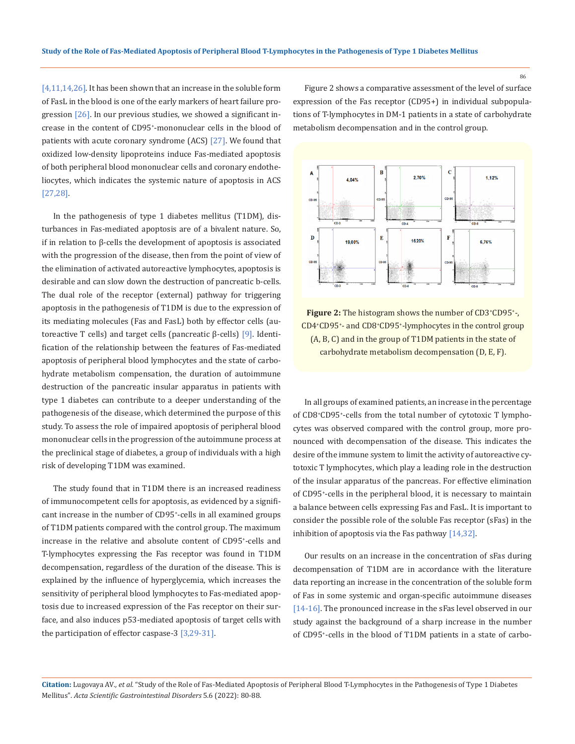[4,11,14,26]. It has been shown that an increase in the soluble form of FasL in the blood is one of the early markers of heart failure progression  $[26]$ . In our previous studies, we showed a significant increase in the content of CD95+ -mononuclear cells in the blood of patients with acute coronary syndrome (ACS) [27]. We found that oxidized low-density lipoproteins induce Fas-mediated apoptosis of both peripheral blood mononuclear cells and coronary endotheliocytes, which indicates the systemic nature of apoptosis in ACS [27,28].

In the pathogenesis of type 1 diabetes mellitus (T1DM), disturbances in Fas-mediated apoptosis are of a bivalent nature. So, if in relation to β-cells the development of apoptosis is associated with the progression of the disease, then from the point of view of the elimination of activated autoreactive lymphocytes, apoptosis is desirable and can slow down the destruction of pancreatic b-cells. The dual role of the receptor (external) pathway for triggering apoptosis in the pathogenesis of T1DM is due to the expression of its mediating molecules (Fas and FasL) both by effector cells (autoreactive T cells) and target cells (pancreatic β-cells) [9]. Identification of the relationship between the features of Fas-mediated apoptosis of peripheral blood lymphocytes and the state of carbohydrate metabolism compensation, the duration of autoimmune destruction of the pancreatic insular apparatus in patients with type 1 diabetes can contribute to a deeper understanding of the pathogenesis of the disease, which determined the purpose of this study. To assess the role of impaired apoptosis of peripheral blood mononuclear cells in the progression of the autoimmune process at the preclinical stage of diabetes, a group of individuals with a high risk of developing T1DM was examined.

The study found that in T1DM there is an increased readiness of immunocompetent cells for apoptosis, as evidenced by a significant increase in the number of CD95+ -cells in all examined groups of T1DM patients compared with the control group. The maximum increase in the relative and absolute content of CD95+ -cells and T-lymphocytes expressing the Fas receptor was found in T1DM decompensation, regardless of the duration of the disease. This is explained by the influence of hyperglycemia, which increases the sensitivity of peripheral blood lymphocytes to Fas-mediated apoptosis due to increased expression of the Fas receptor on their surface, and also induces p53-mediated apoptosis of target cells with the participation of effector caspase-3  $[3,29-31]$ .

Figure 2 shows a comparative assessment of the level of surface expression of the Fas receptor (CD95+) in individual subpopulations of T-lymphocytes in DM-1 patients in a state of carbohydrate metabolism decompensation and in the control group.



**Figure 2:** The histogram shows the number of CD3<sup>+</sup>CD95<sup>+</sup>-, CD4+ CD95+ - and CD8+ CD95+ -lymphocytes in the control group (A, B, C) and in the group of T1DM patients in the state of carbohydrate metabolism decompensation (D, E, F).

In all groups of examined patients, an increase in the percentage of CD8+ CD95+ -cells from the total number of cytotoxic T lymphocytes was observed compared with the control group, more pronounced with decompensation of the disease. This indicates the desire of the immune system to limit the activity of autoreactive cytotoxic T lymphocytes, which play a leading role in the destruction of the insular apparatus of the pancreas. For effective elimination of CD95+ -cells in the peripheral blood, it is necessary to maintain a balance between cells expressing Fas and FasL. It is important to consider the possible role of the soluble Fas receptor (sFas) in the inhibition of apoptosis via the Fas pathway [14,32].

Our results on an increase in the concentration of sFas during decompensation of T1DM are in accordance with the literature data reporting an increase in the concentration of the soluble form of Fas in some systemic and organ-specific autoimmune diseases [14-16]. The pronounced increase in the sFas level observed in our study against the background of a sharp increase in the number of CD95+ -cells in the blood of T1DM patients in a state of carbo-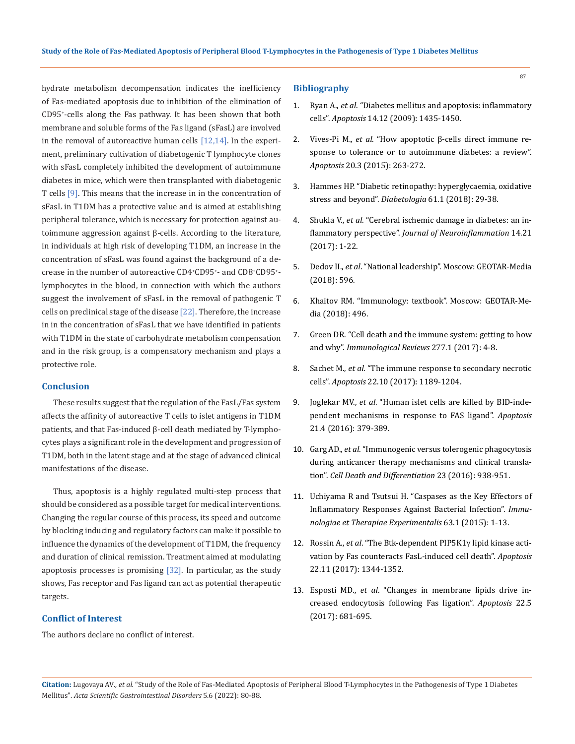hydrate metabolism decompensation indicates the inefficiency of Fas-mediated apoptosis due to inhibition of the elimination of CD95+ -cells along the Fas pathway. It has been shown that both membrane and soluble forms of the Fas ligand (sFasL) are involved in the removal of autoreactive human cells [12,14]. In the experiment, preliminary cultivation of diabetogenic T lymphocyte clones with sFasL completely inhibited the development of autoimmune diabetes in mice, which were then transplanted with diabetogenic T cells [9]. This means that the increase in in the concentration of sFasL in T1DM has a protective value and is aimed at establishing peripheral tolerance, which is necessary for protection against autoimmune aggression against β-cells. According to the literature, in individuals at high risk of developing T1DM, an increase in the concentration of sFasL was found against the background of a decrease in the number of autoreactive CD4+ CD95+ - and CD8+ CD95+ lymphocytes in the blood, in connection with which the authors suggest the involvement of sFasL in the removal of pathogenic T cells on preclinical stage of the disease  $[22]$ . Therefore, the increase in in the concentration of sFasL that we have identified in patients with T1DM in the state of carbohydrate metabolism compensation and in the risk group, is a compensatory mechanism and plays a protective role.

## **Conclusion**

These results suggest that the regulation of the FasL/Fas system affects the affinity of autoreactive T cells to islet antigens in T1DM patients, and that Fas-induced β-cell death mediated by T-lymphocytes plays a significant role in the development and progression of T1DM, both in the latent stage and at the stage of advanced clinical manifestations of the disease.

Thus, apoptosis is a highly regulated multi-step process that should be considered as a possible target for medical interventions. Changing the regular course of this process, its speed and outcome by blocking inducing and regulatory factors can make it possible to influence the dynamics of the development of T1DM, the frequency and duration of clinical remission. Treatment aimed at modulating apoptosis processes is promising  $[32]$ . In particular, as the study shows, Fas receptor and Fas ligand can act as potential therapeutic targets.

## **Conflict of Interest**

The authors declare no conflict of interest.

## **Bibliography**

- 1. Ryan A., *et al*[. "Diabetes mellitus and apoptosis: inflammatory](https://pubmed.ncbi.nlm.nih.gov/19360474/)  cells". *Apoptosis* [14.12 \(2009\): 1435-1450.](https://pubmed.ncbi.nlm.nih.gov/19360474/)
- 2. Vives-Pi M., *et al*[. "How apoptotic β-cells direct immune re](https://pubmed.ncbi.nlm.nih.gov/25604067/)[sponse to tolerance or to autoimmune diabetes: a review".](https://pubmed.ncbi.nlm.nih.gov/25604067/)  *Apoptosis* [20.3 \(2015\): 263-272.](https://pubmed.ncbi.nlm.nih.gov/25604067/)
- 3. [Hammes HP. "Diabetic retinopathy: hyperglycaemia, oxidative](https://pubmed.ncbi.nlm.nih.gov/28942458/)  stress and beyond". *Diabetologia* [61.1 \(2018\): 29-38.](https://pubmed.ncbi.nlm.nih.gov/28942458/)
- 4. Shukla V., *et al*[. "Cerebral ischemic damage in diabetes: an in](https://pubmed.ncbi.nlm.nih.gov/28115020/)flammatory perspective". *[Journal of Neuroinflammation](https://pubmed.ncbi.nlm.nih.gov/28115020/)* 14.21 [\(2017\): 1-22.](https://pubmed.ncbi.nlm.nih.gov/28115020/)
- 5. Dedov II., *et al*. "National leadership". Moscow: GEOTAR-Media (2018): 596.
- 6. Khaitov RM. "Immunology: textbook". Moscow: GEOTAR-Media (2018): 496.
- 7. [Green DR. "Cell death and the immune system: getting to how](https://onlinelibrary.wiley.com/doi/10.1111/imr.12553)  and why". *[Immunological Reviews](https://onlinelibrary.wiley.com/doi/10.1111/imr.12553)* 277.1 (2017): 4-8.
- 8. Sachet M., *et al*[. "The immune response to secondary necrotic](https://pubmed.ncbi.nlm.nih.gov/28861714/)  cells". *Apoptosis* [22.10 \(2017\): 1189-1204.](https://pubmed.ncbi.nlm.nih.gov/28861714/)
- 9. Joglekar MV., *et al*[. "Human islet cells are killed by BID-inde](https://pubmed.ncbi.nlm.nih.gov/26758067/)[pendent mechanisms in response to FAS ligand".](https://pubmed.ncbi.nlm.nih.gov/26758067/) *Apoptosis* [21.4 \(2016\): 379-389.](https://pubmed.ncbi.nlm.nih.gov/26758067/)
- 10. Garg AD., *et al*[. "Immunogenic versus tolerogenic phagocytosis](https://pubmed.ncbi.nlm.nih.gov/26891691/)  [during anticancer therapy mechanisms and clinical transla](https://pubmed.ncbi.nlm.nih.gov/26891691/)tion". *[Cell Death and Differentiation](https://pubmed.ncbi.nlm.nih.gov/26891691/)* 23 (2016): 938-951.
- 11. [Uchiyama R and Tsutsui H. "Caspases as the Key Effectors of](https://pubmed.ncbi.nlm.nih.gov/25033773/)  [Inflammatory Responses Against Bacterial Infection".](https://pubmed.ncbi.nlm.nih.gov/25033773/) *Immu[nologiae et Therapiae Experimentalis](https://pubmed.ncbi.nlm.nih.gov/25033773/)* 63.1 (2015): 1-13.
- 12. Rossin A., *et al*[. "The Btk-dependent PIP5K1γ lipid kinase acti](https://pubmed.ncbi.nlm.nih.gov/28879546/)[vation by Fas counteracts FasL-induced cell death".](https://pubmed.ncbi.nlm.nih.gov/28879546/) *Apoptosis*  [22.11 \(2017\): 1344-1352.](https://pubmed.ncbi.nlm.nih.gov/28879546/)
- 13. Esposti MD., *et al*[. "Changes in membrane lipids drive in](https://pubmed.ncbi.nlm.nih.gov/28299505/)[creased endocytosis following Fas ligation".](https://pubmed.ncbi.nlm.nih.gov/28299505/) *Apoptosis* 22.5 [\(2017\): 681-695.](https://pubmed.ncbi.nlm.nih.gov/28299505/)

**Citation:** Lugovaya AV*., et al.* "Study of the Role of Fas-Mediated Apoptosis of Peripheral Blood T-Lymphocytes in the Pathogenesis of Type 1 Diabetes Mellitus". *Acta Scientific Gastrointestinal Disorders* 5.6 (2022): 80-88.